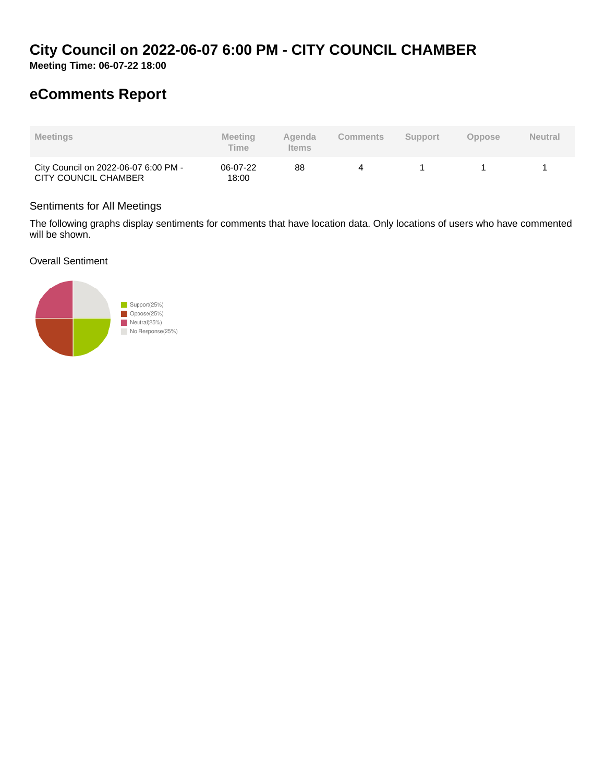# **City Council on 2022-06-07 6:00 PM - CITY COUNCIL CHAMBER**

**Meeting Time: 06-07-22 18:00**

## **eComments Report**

| <b>Meetings</b>                                              | <b>Meeting</b><br><b>Time</b> | Agenda<br><b>Items</b> | Comments | <b>Support</b> | <b>Oppose</b> | <b>Neutral</b> |
|--------------------------------------------------------------|-------------------------------|------------------------|----------|----------------|---------------|----------------|
| City Council on 2022-06-07 6:00 PM -<br>CITY COUNCIL CHAMBER | 06-07-22<br>18:00             | 88                     | Δ        |                |               |                |

## Sentiments for All Meetings

The following graphs display sentiments for comments that have location data. Only locations of users who have commented will be shown.

Overall Sentiment

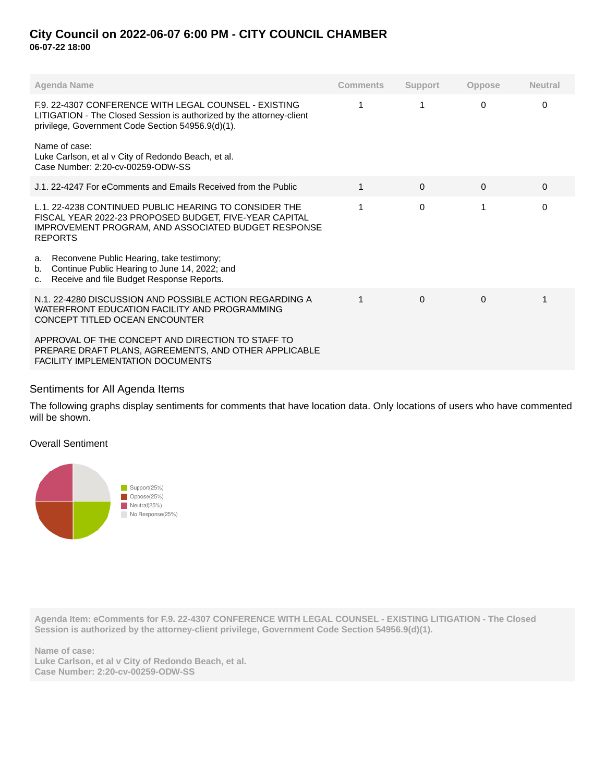## **City Council on 2022-06-07 6:00 PM - CITY COUNCIL CHAMBER 06-07-22 18:00**

| Agenda Name                                                                                                                                                                              | <b>Comments</b> | Support  | <b>Oppose</b> | <b>Neutral</b> |
|------------------------------------------------------------------------------------------------------------------------------------------------------------------------------------------|-----------------|----------|---------------|----------------|
| F.9. 22-4307 CONFERENCE WITH LEGAL COUNSEL - EXISTING<br>LITIGATION - The Closed Session is authorized by the attorney-client<br>privilege, Government Code Section 54956.9(d)(1).       | 1               | 1        | 0             | 0              |
| Name of case:<br>Luke Carlson, et al v City of Redondo Beach, et al.<br>Case Number: 2:20-cv-00259-ODW-SS                                                                                |                 |          |               |                |
| J.1, 22-4247 For eComments and Emails Received from the Public                                                                                                                           | 1               | $\Omega$ | $\Omega$      | $\Omega$       |
| L.1. 22-4238 CONTINUED PUBLIC HEARING TO CONSIDER THE<br>FISCAL YEAR 2022-23 PROPOSED BUDGET, FIVE-YEAR CAPITAL<br>IMPROVEMENT PROGRAM, AND ASSOCIATED BUDGET RESPONSE<br><b>REPORTS</b> |                 | $\Omega$ |               | $\Omega$       |
| Reconvene Public Hearing, take testimony;<br>a.<br>Continue Public Hearing to June 14, 2022; and<br>b.<br>Receive and file Budget Response Reports.<br>C.                                |                 |          |               |                |
| N.1, 22-4280 DISCUSSION AND POSSIBLE ACTION REGARDING A<br>WATERFRONT EDUCATION FACILITY AND PROGRAMMING<br>CONCEPT TITLED OCEAN ENCOUNTER                                               |                 | $\Omega$ | $\Omega$      |                |
| APPROVAL OF THE CONCEPT AND DIRECTION TO STAFF TO<br>PREPARE DRAFT PLANS, AGREEMENTS, AND OTHER APPLICABLE<br><b>FACILITY IMPLEMENTATION DOCUMENTS</b>                                   |                 |          |               |                |

## Sentiments for All Agenda Items

The following graphs display sentiments for comments that have location data. Only locations of users who have commented will be shown.

Overall Sentiment



**Agenda Item: eComments for F.9. 22-4307 CONFERENCE WITH LEGAL COUNSEL - EXISTING LITIGATION - The Closed Session is authorized by the attorney-client privilege, Government Code Section 54956.9(d)(1).**

**Name of case: Luke Carlson, et al v City of Redondo Beach, et al. Case Number: 2:20-cv-00259-ODW-SS**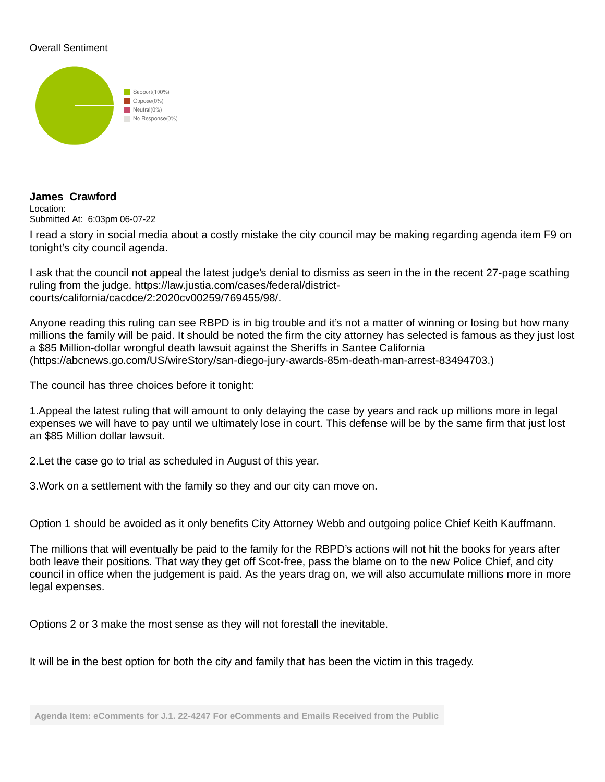## Overall Sentiment



#### **James Crawford** Location: Submitted At: 6:03pm 06-07-22

I read a story in social media about a costly mistake the city council may be making regarding agenda item F9 on tonight's city council agenda.

I ask that the council not appeal the latest judge's denial to dismiss as seen in the in the recent 27-page scathing ruling from the judge. https://law.justia.com/cases/federal/districtcourts/california/cacdce/2:2020cv00259/769455/98/.

Anyone reading this ruling can see RBPD is in big trouble and it's not a matter of winning or losing but how many millions the family will be paid. It should be noted the firm the city attorney has selected is famous as they just lost a \$85 Million-dollar wrongful death lawsuit against the Sheriffs in Santee California (https://abcnews.go.com/US/wireStory/san-diego-jury-awards-85m-death-man-arrest-83494703.)

The council has three choices before it tonight:

1. Appeal the latest ruling that will amount to only delaying the case by years and rack up millions more in legal expenses we will have to pay until we ultimately lose in court. This defense will be by the same firm that just lost an \$85 Million dollar lawsuit.

2. Let the case go to trial as scheduled in August of this year.

3. Work on a settlement with the family so they and our city can move on.

Option 1 should be avoided as it only benefits City Attorney Webb and outgoing police Chief Keith Kauffmann.

The millions that will eventually be paid to the family for the RBPD's actions will not hit the books for years after both leave their positions. That way they get off Scot-free, pass the blame on to the new Police Chief, and city council in office when the judgement is paid. As the years drag on, we will also accumulate millions more in more legal expenses.

Options 2 or 3 make the most sense as they will not forestall the inevitable.

It will be in the best option for both the city and family that has been the victim in this tragedy.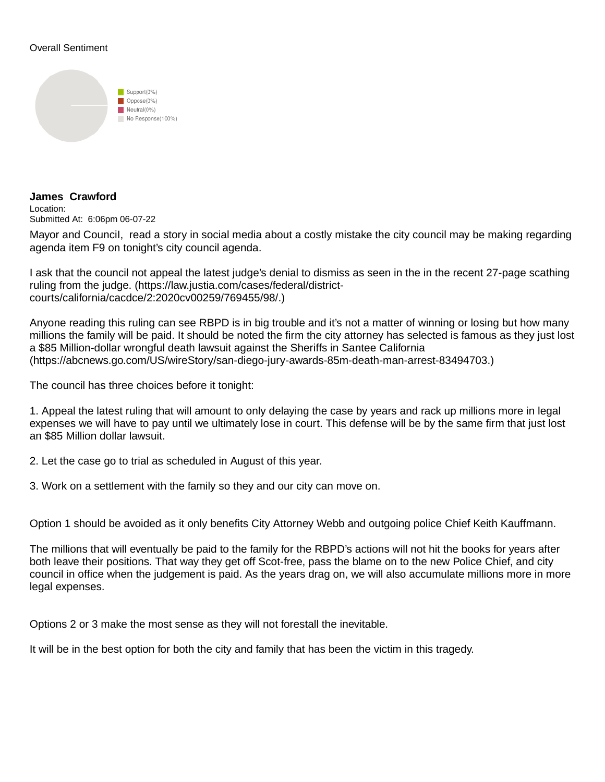## Overall Sentiment



## **James Crawford**

Location: Submitted At: 6:06pm 06-07-22

Mayor and CounciI, read a story in social media about a costly mistake the city council may be making regarding agenda item F9 on tonight's city council agenda.

I ask that the council not appeal the latest judge's denial to dismiss as seen in the in the recent 27-page scathing ruling from the judge. (https://law.justia.com/cases/federal/districtcourts/california/cacdce/2:2020cv00259/769455/98/.)

Anyone reading this ruling can see RBPD is in big trouble and it's not a matter of winning or losing but how many millions the family will be paid. It should be noted the firm the city attorney has selected is famous as they just lost a \$85 Million-dollar wrongful death lawsuit against the Sheriffs in Santee California (https://abcnews.go.com/US/wireStory/san-diego-jury-awards-85m-death-man-arrest-83494703.)

The council has three choices before it tonight:

1. Appeal the latest ruling that will amount to only delaying the case by years and rack up millions more in legal expenses we will have to pay until we ultimately lose in court. This defense will be by the same firm that just lost an \$85 Million dollar lawsuit.

2. Let the case go to trial as scheduled in August of this year.

3. Work on a settlement with the family so they and our city can move on.

Option 1 should be avoided as it only benefits City Attorney Webb and outgoing police Chief Keith Kauffmann.

The millions that will eventually be paid to the family for the RBPD's actions will not hit the books for years after both leave their positions. That way they get off Scot-free, pass the blame on to the new Police Chief, and city council in office when the judgement is paid. As the years drag on, we will also accumulate millions more in more legal expenses.

Options 2 or 3 make the most sense as they will not forestall the inevitable.

It will be in the best option for both the city and family that has been the victim in this tragedy.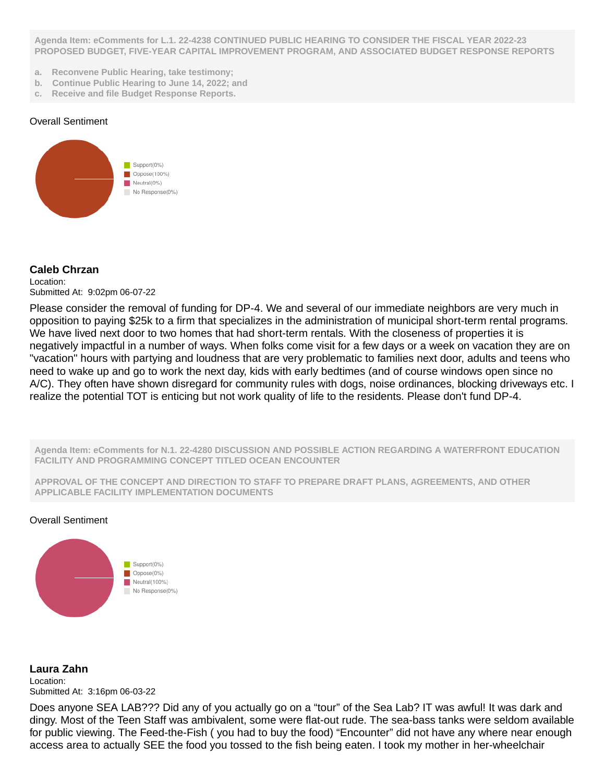**Agenda Item: eComments for L.1. 22-4238 CONTINUED PUBLIC HEARING TO CONSIDER THE FISCAL YEAR 2022-23 PROPOSED BUDGET, FIVE-YEAR CAPITAL IMPROVEMENT PROGRAM, AND ASSOCIATED BUDGET RESPONSE REPORTS**

- **a. Reconvene Public Hearing, take testimony;**
- **b. Continue Public Hearing to June 14, 2022; and**
- **c. Receive and file Budget Response Reports.**

### Overall Sentiment



## **Caleb Chrzan**

Location: Submitted At: 9:02pm 06-07-22

Please consider the removal of funding for DP-4. We and several of our immediate neighbors are very much in opposition to paying \$25k to a firm that specializes in the administration of municipal short-term rental programs. We have lived next door to two homes that had short-term rentals. With the closeness of properties it is negatively impactful in a number of ways. When folks come visit for a few days or a week on vacation they are on "vacation" hours with partying and loudness that are very problematic to families next door, adults and teens who need to wake up and go to work the next day, kids with early bedtimes (and of course windows open since no A/C). They often have shown disregard for community rules with dogs, noise ordinances, blocking driveways etc. I realize the potential TOT is enticing but not work quality of life to the residents. Please don't fund DP-4.

**Agenda Item: eComments for N.1. 22-4280 DISCUSSION AND POSSIBLE ACTION REGARDING A WATERFRONT EDUCATION FACILITY AND PROGRAMMING CONCEPT TITLED OCEAN ENCOUNTER**

**APPROVAL OF THE CONCEPT AND DIRECTION TO STAFF TO PREPARE DRAFT PLANS, AGREEMENTS, AND OTHER APPLICABLE FACILITY IMPLEMENTATION DOCUMENTS**

### Overall Sentiment



**Laura Zahn** Location: Submitted At: 3:16pm 06-03-22

Does anyone SEA LAB??? Did any of you actually go on a "tour" of the Sea Lab? IT was awful! It was dark and dingy. Most of the Teen Staff was ambivalent, some were flat-out rude. The sea-bass tanks were seldom available for public viewing. The Feed-the-Fish ( you had to buy the food) "Encounter" did not have any where near enough access area to actually SEE the food you tossed to the fish being eaten. I took my mother in her-wheelchair